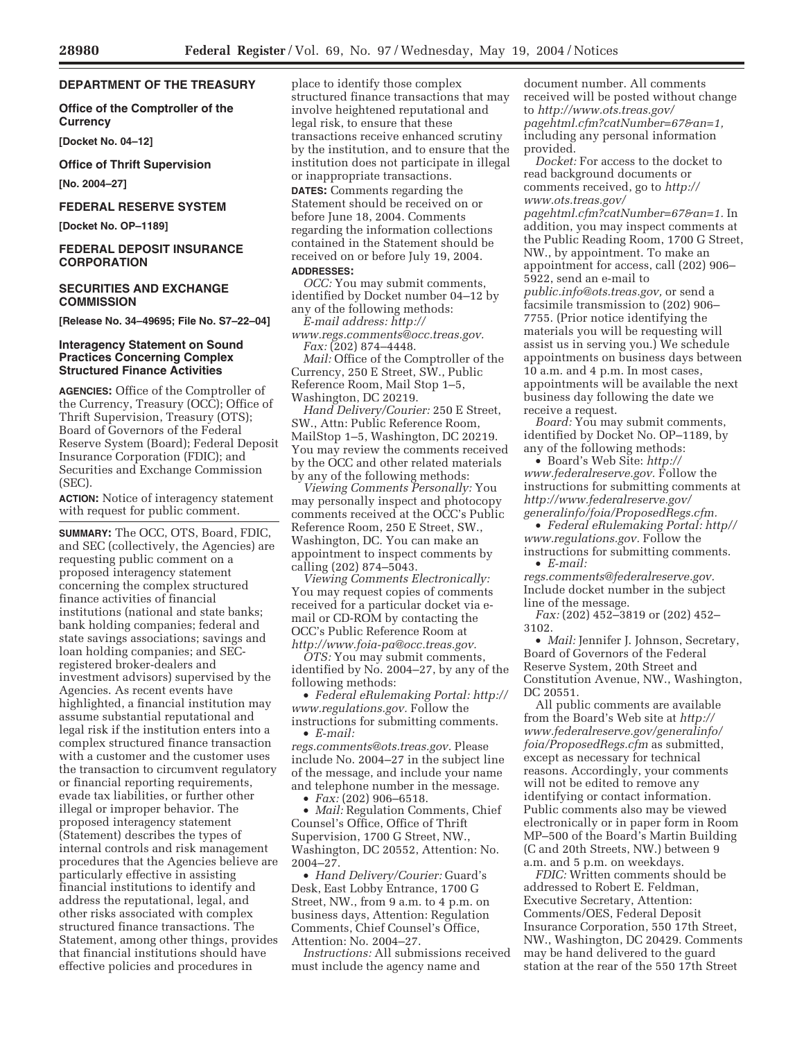# **DEPARTMENT OF THE TREASURY**

**Office of the Comptroller of the Currency** 

**[Docket No. 04–12]** 

**Office of Thrift Supervision** 

**[No. 2004–27]** 

### **FEDERAL RESERVE SYSTEM**

**[Docket No. OP–1189]** 

## **FEDERAL DEPOSIT INSURANCE CORPORATION**

# **SECURITIES AND EXCHANGE COMMISSION**

**[Release No. 34–49695; File No. S7–22–04]** 

# **Interagency Statement on Sound Practices Concerning Complex Structured Finance Activities**

**AGENCIES:** Office of the Comptroller of the Currency, Treasury (OCC); Office of Thrift Supervision, Treasury (OTS); Board of Governors of the Federal Reserve System (Board); Federal Deposit Insurance Corporation (FDIC); and Securities and Exchange Commission (SEC).

**ACTION:** Notice of interagency statement with request for public comment.

**SUMMARY:** The OCC, OTS, Board, FDIC, and SEC (collectively, the Agencies) are requesting public comment on a proposed interagency statement concerning the complex structured finance activities of financial institutions (national and state banks; bank holding companies; federal and state savings associations; savings and loan holding companies; and SECregistered broker-dealers and investment advisors) supervised by the Agencies. As recent events have highlighted, a financial institution may assume substantial reputational and legal risk if the institution enters into a complex structured finance transaction with a customer and the customer uses the transaction to circumvent regulatory or financial reporting requirements, evade tax liabilities, or further other illegal or improper behavior. The proposed interagency statement (Statement) describes the types of internal controls and risk management procedures that the Agencies believe are particularly effective in assisting financial institutions to identify and address the reputational, legal, and other risks associated with complex structured finance transactions. The Statement, among other things, provides that financial institutions should have effective policies and procedures in

place to identify those complex structured finance transactions that may involve heightened reputational and legal risk, to ensure that these transactions receive enhanced scrutiny by the institution, and to ensure that the institution does not participate in illegal or inappropriate transactions.

**DATES:** Comments regarding the Statement should be received on or before June 18, 2004. Comments regarding the information collections contained in the Statement should be received on or before July 19, 2004. **ADDRESSES:** 

*OCC:* You may submit comments, identified by Docket number 04–12 by any of the following methods:

*E-mail address: http://*

*www.regs.comments@occ.treas.gov. Fax:* (202) 874–4448.

*Mail:* Office of the Comptroller of the Currency, 250 E Street, SW., Public Reference Room, Mail Stop 1–5, Washington, DC 20219.

*Hand Delivery/Courier:* 250 E Street, SW., Attn: Public Reference Room, MailStop 1–5, Washington, DC 20219. You may review the comments received by the OCC and other related materials by any of the following methods:

*Viewing Comments Personally:* You may personally inspect and photocopy comments received at the OCC's Public Reference Room, 250 E Street, SW., Washington, DC. You can make an appointment to inspect comments by calling (202) 874–5043.

*Viewing Comments Electronically:* You may request copies of comments received for a particular docket via email or CD-ROM by contacting the OCC's Public Reference Room at *http://www.foia-pa@occ.treas.gov.*

*OTS:* You may submit comments, identified by No. 2004–27, by any of the following methods:

• *Federal eRulemaking Portal: http:// www.regulations.gov.* Follow the instructions for submitting comments.

• *E-mail:* 

*regs.comments@ots.treas.gov.* Please include No. 2004–27 in the subject line of the message, and include your name and telephone number in the message.

• *Fax:* (202) 906–6518.

• *Mail:* Regulation Comments, Chief Counsel's Office, Office of Thrift Supervision, 1700 G Street, NW., Washington, DC 20552, Attention: No. 2004–27.

• *Hand Delivery/Courier:* Guard's Desk, East Lobby Entrance, 1700 G Street, NW., from 9 a.m. to 4 p.m. on business days, Attention: Regulation Comments, Chief Counsel's Office, Attention: No. 2004–27.

*Instructions:* All submissions received must include the agency name and

document number. All comments received will be posted without change to *http://www.ots.treas.gov/ pagehtml.cfm?catNumber=67&an=1,* including any personal information provided.

*Docket:* For access to the docket to read background documents or comments received, go to *http:// www.ots.treas.gov/*

*pagehtml.cfm?catNumber=67&an=1.* In addition, you may inspect comments at the Public Reading Room, 1700 G Street, NW., by appointment. To make an appointment for access, call (202) 906– 5922, send an e-mail to

*public.info@ots.treas.gov,* or send a facsimile transmission to (202) 906– 7755. (Prior notice identifying the materials you will be requesting will assist us in serving you.) We schedule appointments on business days between 10 a.m. and 4 p.m. In most cases, appointments will be available the next business day following the date we receive a request.

*Board:* You may submit comments, identified by Docket No. OP–1189, by any of the following methods:

• Board's Web Site: *http:// www.federalreserve.gov.* Follow the instructions for submitting comments at *http://www.federalreserve.gov/ generalinfo/foia/ProposedRegs.cfm.*

• *Federal eRulemaking Portal: http// www.regulations.gov.* Follow the instructions for submitting comments.

• *E-mail:* 

*regs.comments@federalreserve.gov.* Include docket number in the subject line of the message.

*Fax:* (202) 452–3819 or (202) 452– 3102.

• *Mail:* Jennifer J. Johnson, Secretary, Board of Governors of the Federal Reserve System, 20th Street and Constitution Avenue, NW., Washington, DC 20551.

All public comments are available from the Board's Web site at *http:// www.federalreserve.gov/generalinfo/ foia/ProposedRegs.cfm* as submitted, except as necessary for technical reasons. Accordingly, your comments will not be edited to remove any identifying or contact information. Public comments also may be viewed electronically or in paper form in Room MP–500 of the Board's Martin Building (C and 20th Streets, NW.) between 9 a.m. and 5 p.m. on weekdays.

*FDIC:* Written comments should be addressed to Robert E. Feldman, Executive Secretary, Attention: Comments/OES, Federal Deposit Insurance Corporation, 550 17th Street, NW., Washington, DC 20429. Comments may be hand delivered to the guard station at the rear of the 550 17th Street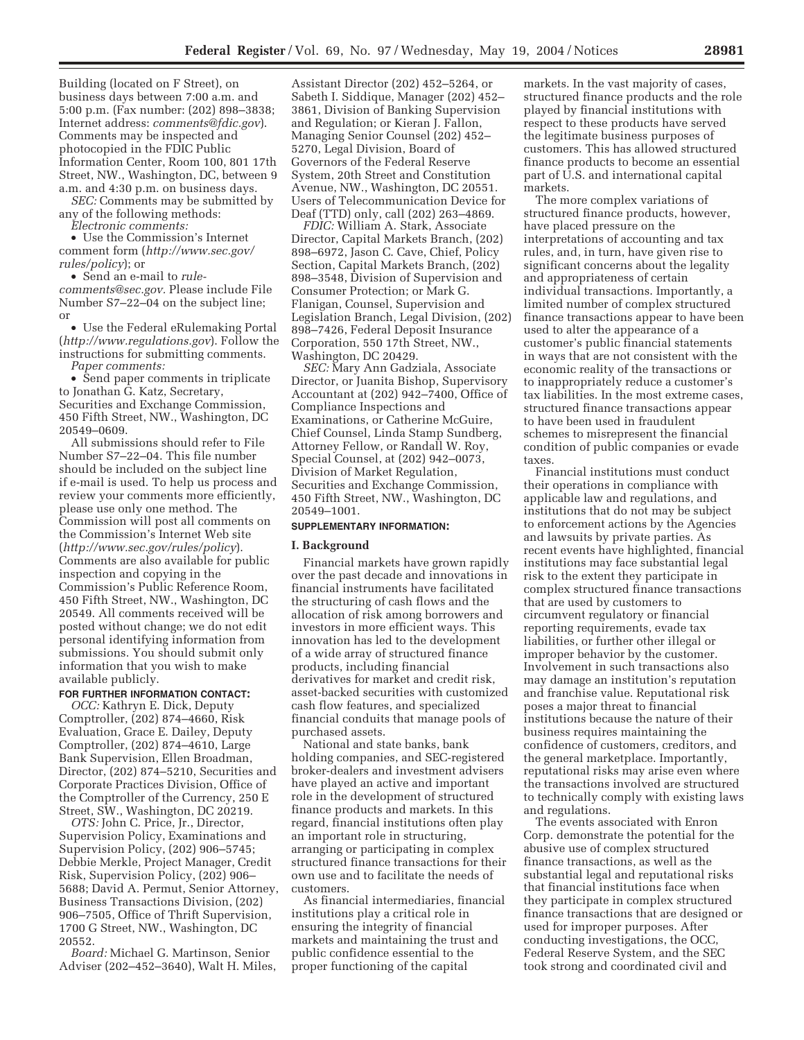Building (located on F Street), on business days between 7:00 a.m. and 5:00 p.m. (Fax number: (202) 898–3838; Internet address: *comments@fdic.gov*). Comments may be inspected and photocopied in the FDIC Public Information Center, Room 100, 801 17th Street, NW., Washington, DC, between 9 a.m. and 4:30 p.m. on business days.

*SEC:* Comments may be submitted by any of the following methods: *Electronic comments:*

• Use the Commission's Internet comment form (*http://www.sec.gov/ rules/policy*); or

• Send an e-mail to *rulecomments@sec.gov.* Please include File Number S7–22–04 on the subject line; or

• Use the Federal eRulemaking Portal (*http://www.regulations.gov*). Follow the instructions for submitting comments. *Paper comments:*

• Send paper comments in triplicate to Jonathan G. Katz, Secretary, Securities and Exchange Commission, 450 Fifth Street, NW., Washington, DC 20549–0609.

All submissions should refer to File Number S7–22–04. This file number should be included on the subject line if e-mail is used. To help us process and review your comments more efficiently, please use only one method. The Commission will post all comments on the Commission's Internet Web site (*http://www.sec.gov/rules/policy*). Comments are also available for public inspection and copying in the Commission's Public Reference Room, 450 Fifth Street, NW., Washington, DC 20549. All comments received will be posted without change; we do not edit personal identifying information from submissions. You should submit only information that you wish to make available publicly.

#### **FOR FURTHER INFORMATION CONTACT:**

*OCC:* Kathryn E. Dick, Deputy Comptroller, (202) 874–4660, Risk Evaluation, Grace E. Dailey, Deputy Comptroller, (202) 874–4610, Large Bank Supervision, Ellen Broadman, Director, (202) 874–5210, Securities and Corporate Practices Division, Office of the Comptroller of the Currency, 250 E Street, SW., Washington, DC 20219.

*OTS:* John C. Price, Jr., Director, Supervision Policy, Examinations and Supervision Policy, (202) 906–5745; Debbie Merkle, Project Manager, Credit Risk, Supervision Policy, (202) 906– 5688; David A. Permut, Senior Attorney, Business Transactions Division, (202) 906–7505, Office of Thrift Supervision, 1700 G Street, NW., Washington, DC 20552.

*Board:* Michael G. Martinson, Senior Adviser (202–452–3640), Walt H. Miles,

Assistant Director (202) 452–5264, or Sabeth I. Siddique, Manager (202) 452– 3861, Division of Banking Supervision and Regulation; or Kieran J. Fallon, Managing Senior Counsel (202) 452– 5270, Legal Division, Board of Governors of the Federal Reserve System, 20th Street and Constitution Avenue, NW., Washington, DC 20551. Users of Telecommunication Device for Deaf (TTD) only, call (202) 263–4869.

*FDIC:* William A. Stark, Associate Director, Capital Markets Branch, (202) 898–6972, Jason C. Cave, Chief, Policy Section, Capital Markets Branch, (202) 898–3548, Division of Supervision and Consumer Protection; or Mark G. Flanigan, Counsel, Supervision and Legislation Branch, Legal Division, (202) 898–7426, Federal Deposit Insurance Corporation, 550 17th Street, NW., Washington, DC 20429.

*SEC:* Mary Ann Gadziala, Associate Director, or Juanita Bishop, Supervisory Accountant at (202) 942–7400, Office of Compliance Inspections and Examinations, or Catherine McGuire, Chief Counsel, Linda Stamp Sundberg, Attorney Fellow, or Randall W. Roy, Special Counsel, at (202) 942–0073, Division of Market Regulation, Securities and Exchange Commission, 450 Fifth Street, NW., Washington, DC 20549–1001.

#### **SUPPLEMENTARY INFORMATION:**

#### **I. Background**

Financial markets have grown rapidly over the past decade and innovations in financial instruments have facilitated the structuring of cash flows and the allocation of risk among borrowers and investors in more efficient ways. This innovation has led to the development of a wide array of structured finance products, including financial derivatives for market and credit risk, asset-backed securities with customized cash flow features, and specialized financial conduits that manage pools of purchased assets.

National and state banks, bank holding companies, and SEC-registered broker-dealers and investment advisers have played an active and important role in the development of structured finance products and markets. In this regard, financial institutions often play an important role in structuring, arranging or participating in complex structured finance transactions for their own use and to facilitate the needs of customers.

As financial intermediaries, financial institutions play a critical role in ensuring the integrity of financial markets and maintaining the trust and public confidence essential to the proper functioning of the capital

markets. In the vast majority of cases, structured finance products and the role played by financial institutions with respect to these products have served the legitimate business purposes of customers. This has allowed structured finance products to become an essential part of U.S. and international capital markets.

The more complex variations of structured finance products, however, have placed pressure on the interpretations of accounting and tax rules, and, in turn, have given rise to significant concerns about the legality and appropriateness of certain individual transactions. Importantly, a limited number of complex structured finance transactions appear to have been used to alter the appearance of a customer's public financial statements in ways that are not consistent with the economic reality of the transactions or to inappropriately reduce a customer's tax liabilities. In the most extreme cases, structured finance transactions appear to have been used in fraudulent schemes to misrepresent the financial condition of public companies or evade taxes.

Financial institutions must conduct their operations in compliance with applicable law and regulations, and institutions that do not may be subject to enforcement actions by the Agencies and lawsuits by private parties. As recent events have highlighted, financial institutions may face substantial legal risk to the extent they participate in complex structured finance transactions that are used by customers to circumvent regulatory or financial reporting requirements, evade tax liabilities, or further other illegal or improper behavior by the customer. Involvement in such transactions also may damage an institution's reputation and franchise value. Reputational risk poses a major threat to financial institutions because the nature of their business requires maintaining the confidence of customers, creditors, and the general marketplace. Importantly, reputational risks may arise even where the transactions involved are structured to technically comply with existing laws and regulations.

The events associated with Enron Corp. demonstrate the potential for the abusive use of complex structured finance transactions, as well as the substantial legal and reputational risks that financial institutions face when they participate in complex structured finance transactions that are designed or used for improper purposes. After conducting investigations, the OCC, Federal Reserve System, and the SEC took strong and coordinated civil and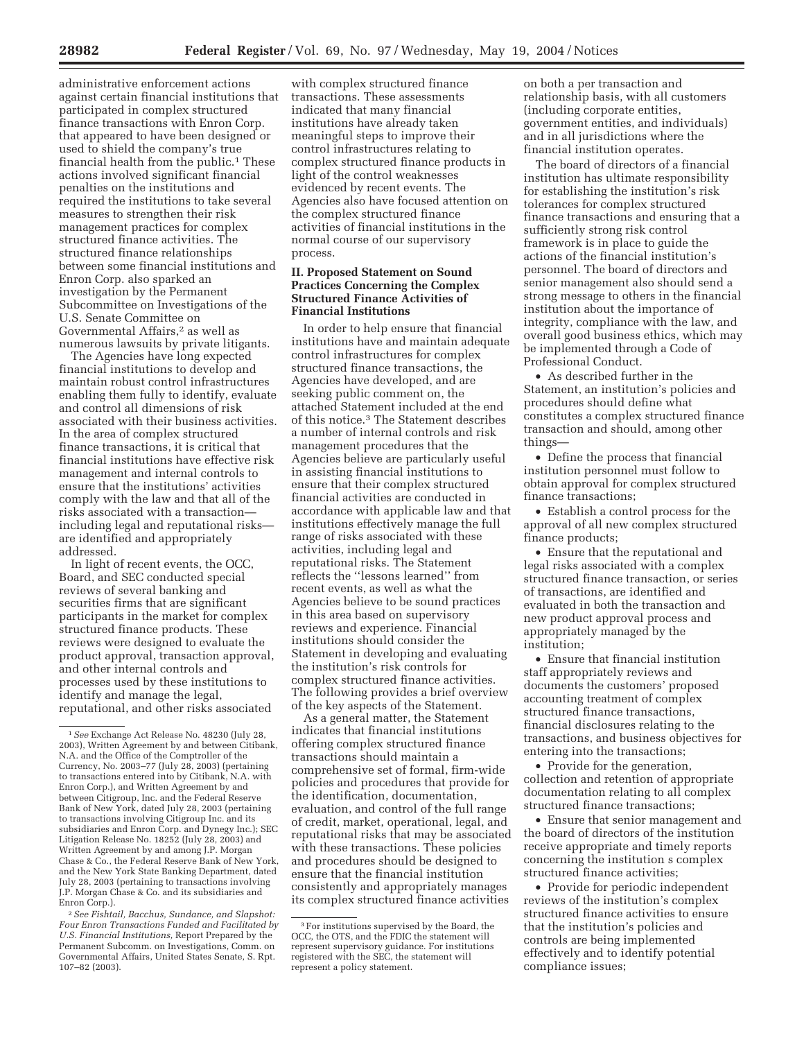administrative enforcement actions against certain financial institutions that participated in complex structured finance transactions with Enron Corp. that appeared to have been designed or used to shield the company's true financial health from the public.<sup>1</sup> These actions involved significant financial penalties on the institutions and required the institutions to take several measures to strengthen their risk management practices for complex structured finance activities. The structured finance relationships between some financial institutions and Enron Corp. also sparked an investigation by the Permanent Subcommittee on Investigations of the U.S. Senate Committee on Governmental Affairs,2 as well as numerous lawsuits by private litigants.

The Agencies have long expected financial institutions to develop and maintain robust control infrastructures enabling them fully to identify, evaluate and control all dimensions of risk associated with their business activities. In the area of complex structured finance transactions, it is critical that financial institutions have effective risk management and internal controls to ensure that the institutions' activities comply with the law and that all of the risks associated with a transaction including legal and reputational risks are identified and appropriately addressed.

In light of recent events, the OCC, Board, and SEC conducted special reviews of several banking and securities firms that are significant participants in the market for complex structured finance products. These reviews were designed to evaluate the product approval, transaction approval, and other internal controls and processes used by these institutions to identify and manage the legal, reputational, and other risks associated

with complex structured finance transactions. These assessments indicated that many financial institutions have already taken meaningful steps to improve their control infrastructures relating to complex structured finance products in light of the control weaknesses evidenced by recent events. The Agencies also have focused attention on the complex structured finance activities of financial institutions in the normal course of our supervisory process.

# **II. Proposed Statement on Sound Practices Concerning the Complex Structured Finance Activities of Financial Institutions**

In order to help ensure that financial institutions have and maintain adequate control infrastructures for complex structured finance transactions, the Agencies have developed, and are seeking public comment on, the attached Statement included at the end of this notice.3 The Statement describes a number of internal controls and risk management procedures that the Agencies believe are particularly useful in assisting financial institutions to ensure that their complex structured financial activities are conducted in accordance with applicable law and that institutions effectively manage the full range of risks associated with these activities, including legal and reputational risks. The Statement reflects the ''lessons learned'' from recent events, as well as what the Agencies believe to be sound practices in this area based on supervisory reviews and experience. Financial institutions should consider the Statement in developing and evaluating the institution's risk controls for complex structured finance activities. The following provides a brief overview of the key aspects of the Statement.

As a general matter, the Statement indicates that financial institutions offering complex structured finance transactions should maintain a comprehensive set of formal, firm-wide policies and procedures that provide for the identification, documentation, evaluation, and control of the full range of credit, market, operational, legal, and reputational risks that may be associated with these transactions. These policies and procedures should be designed to ensure that the financial institution consistently and appropriately manages its complex structured finance activities

on both a per transaction and relationship basis, with all customers (including corporate entities, government entities, and individuals) and in all jurisdictions where the financial institution operates.

The board of directors of a financial institution has ultimate responsibility for establishing the institution's risk tolerances for complex structured finance transactions and ensuring that a sufficiently strong risk control framework is in place to guide the actions of the financial institution's personnel. The board of directors and senior management also should send a strong message to others in the financial institution about the importance of integrity, compliance with the law, and overall good business ethics, which may be implemented through a Code of Professional Conduct.

• As described further in the Statement, an institution's policies and procedures should define what constitutes a complex structured finance transaction and should, among other things—

• Define the process that financial institution personnel must follow to obtain approval for complex structured finance transactions;

• Establish a control process for the approval of all new complex structured finance products;

• Ensure that the reputational and legal risks associated with a complex structured finance transaction, or series of transactions, are identified and evaluated in both the transaction and new product approval process and appropriately managed by the institution;

• Ensure that financial institution staff appropriately reviews and documents the customers' proposed accounting treatment of complex structured finance transactions, financial disclosures relating to the transactions, and business objectives for entering into the transactions;

• Provide for the generation, collection and retention of appropriate documentation relating to all complex structured finance transactions;

• Ensure that senior management and the board of directors of the institution receive appropriate and timely reports concerning the institution s complex structured finance activities;

• Provide for periodic independent reviews of the institution's complex structured finance activities to ensure that the institution's policies and controls are being implemented effectively and to identify potential compliance issues;

<sup>1</sup>*See* Exchange Act Release No. 48230 (July 28, 2003), Written Agreement by and between Citibank, N.A. and the Office of the Comptroller of the Currency, No. 2003–77 (July 28, 2003) (pertaining to transactions entered into by Citibank, N.A. with Enron Corp.), and Written Agreement by and between Citigroup, Inc. and the Federal Reserve Bank of New York, dated July 28, 2003 (pertaining to transactions involving Citigroup Inc. and its subsidiaries and Enron Corp. and Dynegy Inc.); SEC Litigation Release No. 18252 (July 28, 2003) and Written Agreement by and among J.P. Morgan Chase & Co., the Federal Reserve Bank of New York, and the New York State Banking Department, dated July 28, 2003 (pertaining to transactions involving J.P. Morgan Chase & Co. and its subsidiaries and Enron Corp.).

<sup>2</sup>*See Fishtail, Bacchus, Sundance, and Slapshot: Four Enron Transactions Funded and Facilitated by U.S. Financial Institutions,* Report Prepared by the Permanent Subcomm. on Investigations, Comm. on Governmental Affairs, United States Senate, S. Rpt. 107–82 (2003).

<sup>3</sup>For institutions supervised by the Board, the OCC, the OTS, and the FDIC the statement will represent supervisory guidance. For institutions registered with the SEC, the statement will represent a policy statement.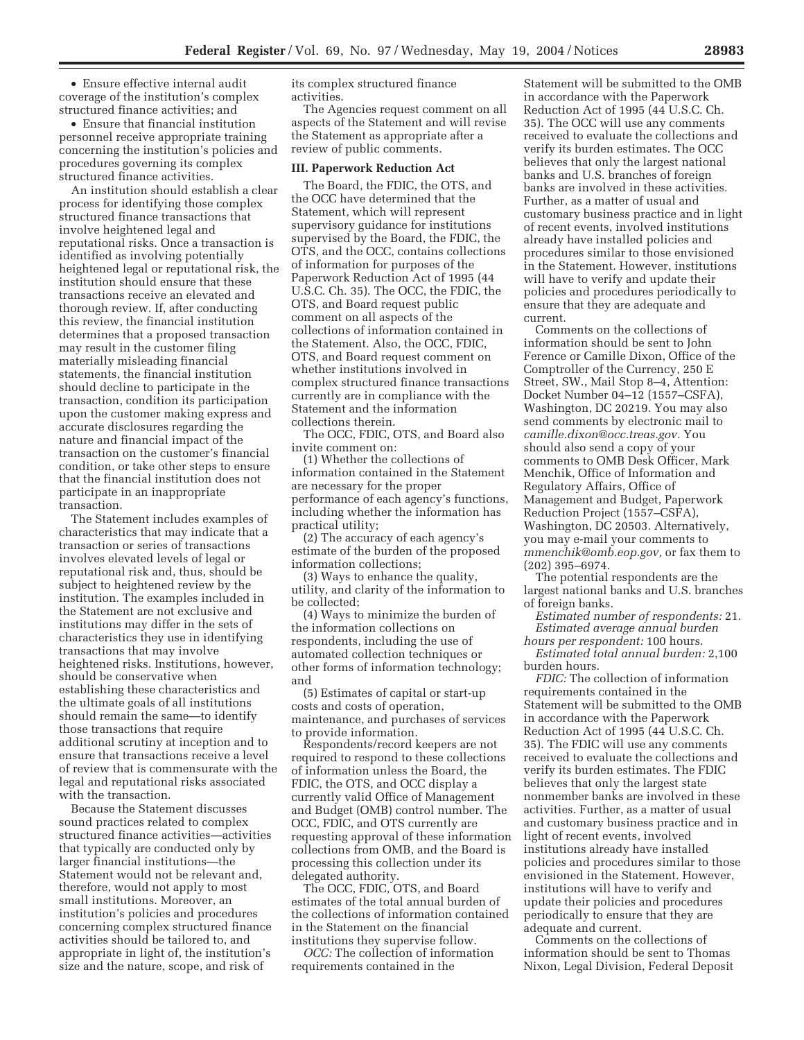• Ensure effective internal audit coverage of the institution's complex structured finance activities; and

• Ensure that financial institution personnel receive appropriate training concerning the institution's policies and procedures governing its complex structured finance activities.

An institution should establish a clear process for identifying those complex structured finance transactions that involve heightened legal and reputational risks. Once a transaction is identified as involving potentially heightened legal or reputational risk, the institution should ensure that these transactions receive an elevated and thorough review. If, after conducting this review, the financial institution determines that a proposed transaction may result in the customer filing materially misleading financial statements, the financial institution should decline to participate in the transaction, condition its participation upon the customer making express and accurate disclosures regarding the nature and financial impact of the transaction on the customer's financial condition, or take other steps to ensure that the financial institution does not participate in an inappropriate transaction.

The Statement includes examples of characteristics that may indicate that a transaction or series of transactions involves elevated levels of legal or reputational risk and, thus, should be subject to heightened review by the institution. The examples included in the Statement are not exclusive and institutions may differ in the sets of characteristics they use in identifying transactions that may involve heightened risks. Institutions, however, should be conservative when establishing these characteristics and the ultimate goals of all institutions should remain the same—to identify those transactions that require additional scrutiny at inception and to ensure that transactions receive a level of review that is commensurate with the legal and reputational risks associated with the transaction.

Because the Statement discusses sound practices related to complex structured finance activities—activities that typically are conducted only by larger financial institutions—the Statement would not be relevant and, therefore, would not apply to most small institutions. Moreover, an institution's policies and procedures concerning complex structured finance activities should be tailored to, and appropriate in light of, the institution's size and the nature, scope, and risk of

its complex structured finance activities.

The Agencies request comment on all aspects of the Statement and will revise the Statement as appropriate after a review of public comments.

#### **III. Paperwork Reduction Act**

The Board, the FDIC, the OTS, and the OCC have determined that the Statement, which will represent supervisory guidance for institutions supervised by the Board, the FDIC, the OTS, and the OCC, contains collections of information for purposes of the Paperwork Reduction Act of 1995 (44 U.S.C. Ch. 35). The OCC, the FDIC, the OTS, and Board request public comment on all aspects of the collections of information contained in the Statement. Also, the OCC, FDIC, OTS, and Board request comment on whether institutions involved in complex structured finance transactions currently are in compliance with the Statement and the information collections therein.

The OCC, FDIC, OTS, and Board also invite comment on:

(1) Whether the collections of information contained in the Statement are necessary for the proper performance of each agency's functions, including whether the information has practical utility;

(2) The accuracy of each agency's estimate of the burden of the proposed information collections;

(3) Ways to enhance the quality, utility, and clarity of the information to be collected;

(4) Ways to minimize the burden of the information collections on respondents, including the use of automated collection techniques or other forms of information technology; and

(5) Estimates of capital or start-up costs and costs of operation, maintenance, and purchases of services to provide information.

Respondents/record keepers are not required to respond to these collections of information unless the Board, the FDIC, the OTS, and OCC display a currently valid Office of Management and Budget (OMB) control number. The OCC, FDIC, and OTS currently are requesting approval of these information collections from OMB, and the Board is processing this collection under its delegated authority.

The OCC, FDIC, OTS, and Board estimates of the total annual burden of the collections of information contained in the Statement on the financial institutions they supervise follow.

*OCC:* The collection of information requirements contained in the

Statement will be submitted to the OMB in accordance with the Paperwork Reduction Act of 1995 (44 U.S.C. Ch. 35). The OCC will use any comments received to evaluate the collections and verify its burden estimates. The OCC believes that only the largest national banks and U.S. branches of foreign banks are involved in these activities. Further, as a matter of usual and customary business practice and in light of recent events, involved institutions already have installed policies and procedures similar to those envisioned in the Statement. However, institutions will have to verify and update their policies and procedures periodically to ensure that they are adequate and current.

Comments on the collections of information should be sent to John Ference or Camille Dixon, Office of the Comptroller of the Currency, 250 E Street, SW., Mail Stop 8–4, Attention: Docket Number 04–12 (1557–CSFA), Washington, DC 20219. You may also send comments by electronic mail to *camille.dixon@occ.treas.gov.* You should also send a copy of your comments to OMB Desk Officer, Mark Menchik, Office of Information and Regulatory Affairs, Office of Management and Budget, Paperwork Reduction Project (1557–CSFA), Washington, DC 20503. Alternatively, you may e-mail your comments to *mmenchik@omb.eop.gov,* or fax them to (202) 395–6974.

The potential respondents are the largest national banks and U.S. branches of foreign banks.

*Estimated number of respondents:* 21. *Estimated average annual burden* 

*hours per respondent:* 100 hours. *Estimated total annual burden:* 2,100 burden hours.

*FDIC:* The collection of information requirements contained in the Statement will be submitted to the OMB in accordance with the Paperwork Reduction Act of 1995 (44 U.S.C. Ch. 35). The FDIC will use any comments received to evaluate the collections and verify its burden estimates. The FDIC believes that only the largest state nonmember banks are involved in these activities. Further, as a matter of usual and customary business practice and in light of recent events, involved institutions already have installed policies and procedures similar to those envisioned in the Statement. However, institutions will have to verify and update their policies and procedures periodically to ensure that they are adequate and current.

Comments on the collections of information should be sent to Thomas Nixon, Legal Division, Federal Deposit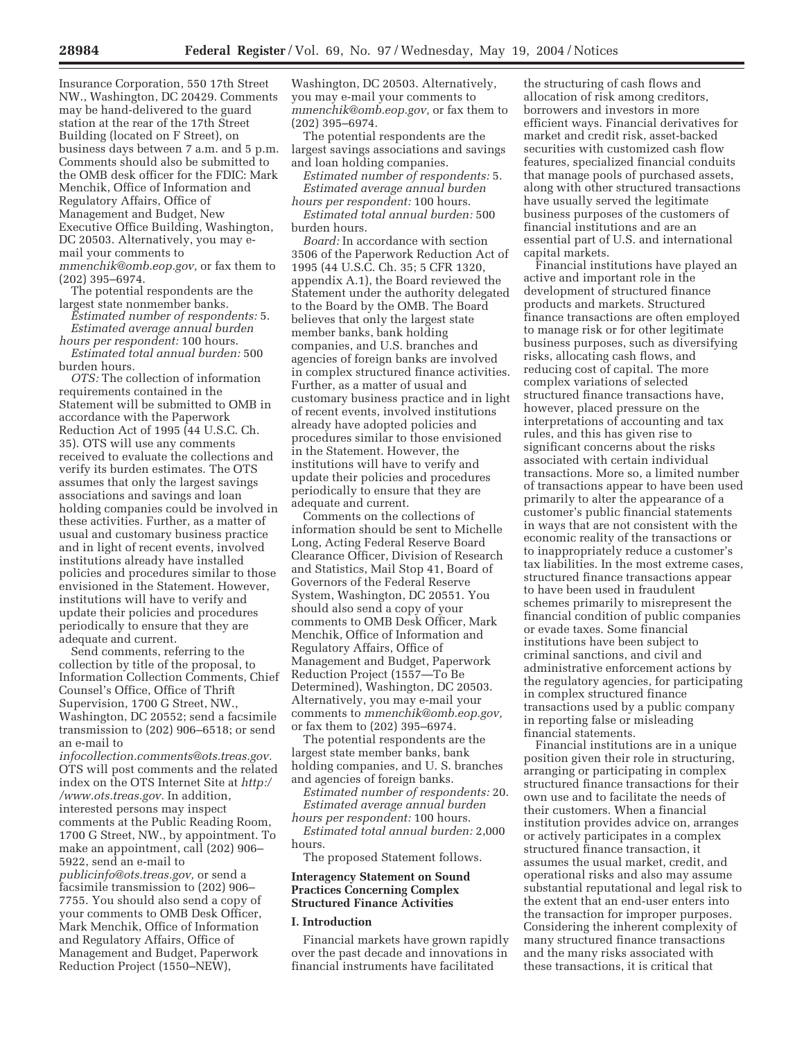Insurance Corporation, 550 17th Street NW., Washington, DC 20429. Comments may be hand-delivered to the guard station at the rear of the 17th Street Building (located on F Street), on business days between 7 a.m. and 5 p.m. Comments should also be submitted to the OMB desk officer for the FDIC: Mark Menchik, Office of Information and Regulatory Affairs, Office of Management and Budget, New Executive Office Building, Washington, DC 20503. Alternatively, you may email your comments to

*mmenchik@omb.eop.gov,* or fax them to (202) 395–6974.

The potential respondents are the largest state nonmember banks.

*Estimated number of respondents:* 5. *Estimated average annual burden* 

*hours per respondent:* 100 hours. *Estimated total annual burden:* 500 burden hours.

*OTS:* The collection of information requirements contained in the Statement will be submitted to OMB in accordance with the Paperwork Reduction Act of 1995 (44 U.S.C. Ch. 35). OTS will use any comments received to evaluate the collections and verify its burden estimates. The OTS assumes that only the largest savings associations and savings and loan holding companies could be involved in these activities. Further, as a matter of usual and customary business practice and in light of recent events, involved institutions already have installed policies and procedures similar to those envisioned in the Statement. However, institutions will have to verify and update their policies and procedures periodically to ensure that they are adequate and current.

Send comments, referring to the collection by title of the proposal, to Information Collection Comments, Chief Counsel's Office, Office of Thrift Supervision, 1700 G Street, NW., Washington, DC 20552; send a facsimile transmission to (202) 906–6518; or send an e-mail to

*infocollection.comments@ots.treas.gov.* OTS will post comments and the related index on the OTS Internet Site at *http:/ /www.ots.treas.gov.* In addition, interested persons may inspect comments at the Public Reading Room, 1700 G Street, NW., by appointment. To make an appointment, call (202) 906– 5922, send an e-mail to *publicinfo@ots.treas.gov,* or send a facsimile transmission to (202) 906– 7755. You should also send a copy of your comments to OMB Desk Officer, Mark Menchik, Office of Information and Regulatory Affairs, Office of

Management and Budget, Paperwork Reduction Project (1550–NEW),

Washington, DC 20503. Alternatively, you may e-mail your comments to *mmenchik@omb.eop.gov,* or fax them to (202) 395–6974.

The potential respondents are the largest savings associations and savings and loan holding companies.

*Estimated number of respondents:* 5. *Estimated average annual burden* 

*hours per respondent:* 100 hours. *Estimated total annual burden:* 500 burden hours.

*Board:* In accordance with section 3506 of the Paperwork Reduction Act of 1995 (44 U.S.C. Ch. 35; 5 CFR 1320, appendix A.1), the Board reviewed the Statement under the authority delegated to the Board by the OMB. The Board believes that only the largest state member banks, bank holding companies, and U.S. branches and agencies of foreign banks are involved in complex structured finance activities. Further, as a matter of usual and customary business practice and in light of recent events, involved institutions already have adopted policies and procedures similar to those envisioned in the Statement. However, the institutions will have to verify and update their policies and procedures periodically to ensure that they are adequate and current.

Comments on the collections of information should be sent to Michelle Long, Acting Federal Reserve Board Clearance Officer, Division of Research and Statistics, Mail Stop 41, Board of Governors of the Federal Reserve System, Washington, DC 20551. You should also send a copy of your comments to OMB Desk Officer, Mark Menchik, Office of Information and Regulatory Affairs, Office of Management and Budget, Paperwork Reduction Project (1557—To Be Determined), Washington, DC 20503. Alternatively, you may e-mail your comments to *mmenchik@omb.eop.gov,* or fax them to (202) 395–6974.

The potential respondents are the largest state member banks, bank holding companies, and U. S. branches and agencies of foreign banks.

*Estimated number of respondents:* 20. *Estimated average annual burden hours per respondent:* 100 hours.

*Estimated total annual burden:* 2,000 hours.

The proposed Statement follows.

## **Interagency Statement on Sound Practices Concerning Complex Structured Finance Activities**

#### **I. Introduction**

Financial markets have grown rapidly over the past decade and innovations in financial instruments have facilitated

the structuring of cash flows and allocation of risk among creditors, borrowers and investors in more efficient ways. Financial derivatives for market and credit risk, asset-backed securities with customized cash flow features, specialized financial conduits that manage pools of purchased assets, along with other structured transactions have usually served the legitimate business purposes of the customers of financial institutions and are an essential part of U.S. and international capital markets.

Financial institutions have played an active and important role in the development of structured finance products and markets. Structured finance transactions are often employed to manage risk or for other legitimate business purposes, such as diversifying risks, allocating cash flows, and reducing cost of capital. The more complex variations of selected structured finance transactions have, however, placed pressure on the interpretations of accounting and tax rules, and this has given rise to significant concerns about the risks associated with certain individual transactions. More so, a limited number of transactions appear to have been used primarily to alter the appearance of a customer's public financial statements in ways that are not consistent with the economic reality of the transactions or to inappropriately reduce a customer's tax liabilities. In the most extreme cases, structured finance transactions appear to have been used in fraudulent schemes primarily to misrepresent the financial condition of public companies or evade taxes. Some financial institutions have been subject to criminal sanctions, and civil and administrative enforcement actions by the regulatory agencies, for participating in complex structured finance transactions used by a public company in reporting false or misleading financial statements.

Financial institutions are in a unique position given their role in structuring, arranging or participating in complex structured finance transactions for their own use and to facilitate the needs of their customers. When a financial institution provides advice on, arranges or actively participates in a complex structured finance transaction, it assumes the usual market, credit, and operational risks and also may assume substantial reputational and legal risk to the extent that an end-user enters into the transaction for improper purposes. Considering the inherent complexity of many structured finance transactions and the many risks associated with these transactions, it is critical that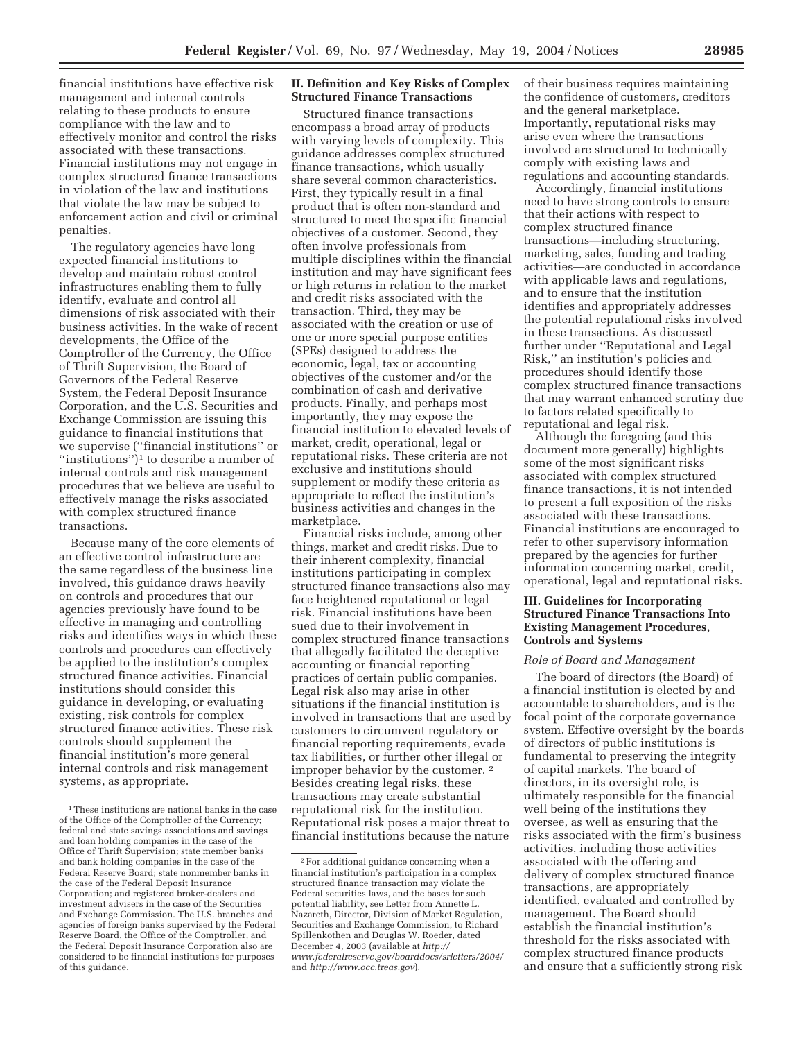financial institutions have effective risk management and internal controls relating to these products to ensure compliance with the law and to effectively monitor and control the risks associated with these transactions. Financial institutions may not engage in complex structured finance transactions in violation of the law and institutions that violate the law may be subject to enforcement action and civil or criminal penalties.

The regulatory agencies have long expected financial institutions to develop and maintain robust control infrastructures enabling them to fully identify, evaluate and control all dimensions of risk associated with their business activities. In the wake of recent developments, the Office of the Comptroller of the Currency, the Office of Thrift Supervision, the Board of Governors of the Federal Reserve System, the Federal Deposit Insurance Corporation, and the U.S. Securities and Exchange Commission are issuing this guidance to financial institutions that we supervise (''financial institutions'' or ''institutions'')1 to describe a number of internal controls and risk management procedures that we believe are useful to effectively manage the risks associated with complex structured finance transactions.

Because many of the core elements of an effective control infrastructure are the same regardless of the business line involved, this guidance draws heavily on controls and procedures that our agencies previously have found to be effective in managing and controlling risks and identifies ways in which these controls and procedures can effectively be applied to the institution's complex structured finance activities. Financial institutions should consider this guidance in developing, or evaluating existing, risk controls for complex structured finance activities. These risk controls should supplement the financial institution's more general internal controls and risk management systems, as appropriate.

# **II. Definition and Key Risks of Complex Structured Finance Transactions**

Structured finance transactions encompass a broad array of products with varying levels of complexity. This guidance addresses complex structured finance transactions, which usually share several common characteristics. First, they typically result in a final product that is often non-standard and structured to meet the specific financial objectives of a customer. Second, they often involve professionals from multiple disciplines within the financial institution and may have significant fees or high returns in relation to the market and credit risks associated with the transaction. Third, they may be associated with the creation or use of one or more special purpose entities (SPEs) designed to address the economic, legal, tax or accounting objectives of the customer and/or the combination of cash and derivative products. Finally, and perhaps most importantly, they may expose the financial institution to elevated levels of market, credit, operational, legal or reputational risks. These criteria are not exclusive and institutions should supplement or modify these criteria as appropriate to reflect the institution's business activities and changes in the marketplace.

Financial risks include, among other things, market and credit risks. Due to their inherent complexity, financial institutions participating in complex structured finance transactions also may face heightened reputational or legal risk. Financial institutions have been sued due to their involvement in complex structured finance transactions that allegedly facilitated the deceptive accounting or financial reporting practices of certain public companies. Legal risk also may arise in other situations if the financial institution is involved in transactions that are used by customers to circumvent regulatory or financial reporting requirements, evade tax liabilities, or further other illegal or improper behavior by the customer. 2 Besides creating legal risks, these transactions may create substantial reputational risk for the institution. Reputational risk poses a major threat to financial institutions because the nature

of their business requires maintaining the confidence of customers, creditors and the general marketplace. Importantly, reputational risks may arise even where the transactions involved are structured to technically comply with existing laws and regulations and accounting standards.

Accordingly, financial institutions need to have strong controls to ensure that their actions with respect to complex structured finance transactions—including structuring, marketing, sales, funding and trading activities—are conducted in accordance with applicable laws and regulations, and to ensure that the institution identifies and appropriately addresses the potential reputational risks involved in these transactions. As discussed further under ''Reputational and Legal Risk,'' an institution's policies and procedures should identify those complex structured finance transactions that may warrant enhanced scrutiny due to factors related specifically to reputational and legal risk.

Although the foregoing (and this document more generally) highlights some of the most significant risks associated with complex structured finance transactions, it is not intended to present a full exposition of the risks associated with these transactions. Financial institutions are encouraged to refer to other supervisory information prepared by the agencies for further information concerning market, credit, operational, legal and reputational risks.

# **III. Guidelines for Incorporating Structured Finance Transactions Into Existing Management Procedures, Controls and Systems**

#### *Role of Board and Management*

The board of directors (the Board) of a financial institution is elected by and accountable to shareholders, and is the focal point of the corporate governance system. Effective oversight by the boards of directors of public institutions is fundamental to preserving the integrity of capital markets. The board of directors, in its oversight role, is ultimately responsible for the financial well being of the institutions they oversee, as well as ensuring that the risks associated with the firm's business activities, including those activities associated with the offering and delivery of complex structured finance transactions, are appropriately identified, evaluated and controlled by management. The Board should establish the financial institution's threshold for the risks associated with complex structured finance products and ensure that a sufficiently strong risk

<sup>1</sup>These institutions are national banks in the case of the Office of the Comptroller of the Currency; federal and state savings associations and savings and loan holding companies in the case of the Office of Thrift Supervision; state member banks and bank holding companies in the case of the Federal Reserve Board; state nonmember banks in the case of the Federal Deposit Insurance Corporation; and registered broker-dealers and investment advisers in the case of the Securities and Exchange Commission. The U.S. branches and agencies of foreign banks supervised by the Federal Reserve Board, the Office of the Comptroller, and the Federal Deposit Insurance Corporation also are considered to be financial institutions for purposes of this guidance.

<sup>2</sup>For additional guidance concerning when a financial institution's participation in a complex structured finance transaction may violate the Federal securities laws, and the bases for such potential liability, see Letter from Annette L. Nazareth, Director, Division of Market Regulation, Securities and Exchange Commission, to Richard Spillenkothen and Douglas W. Roeder, dated December 4, 2003 (available at *http:// www.federalreserve.gov/boarddocs/srletters/2004/* and *http://www.occ.treas.gov*).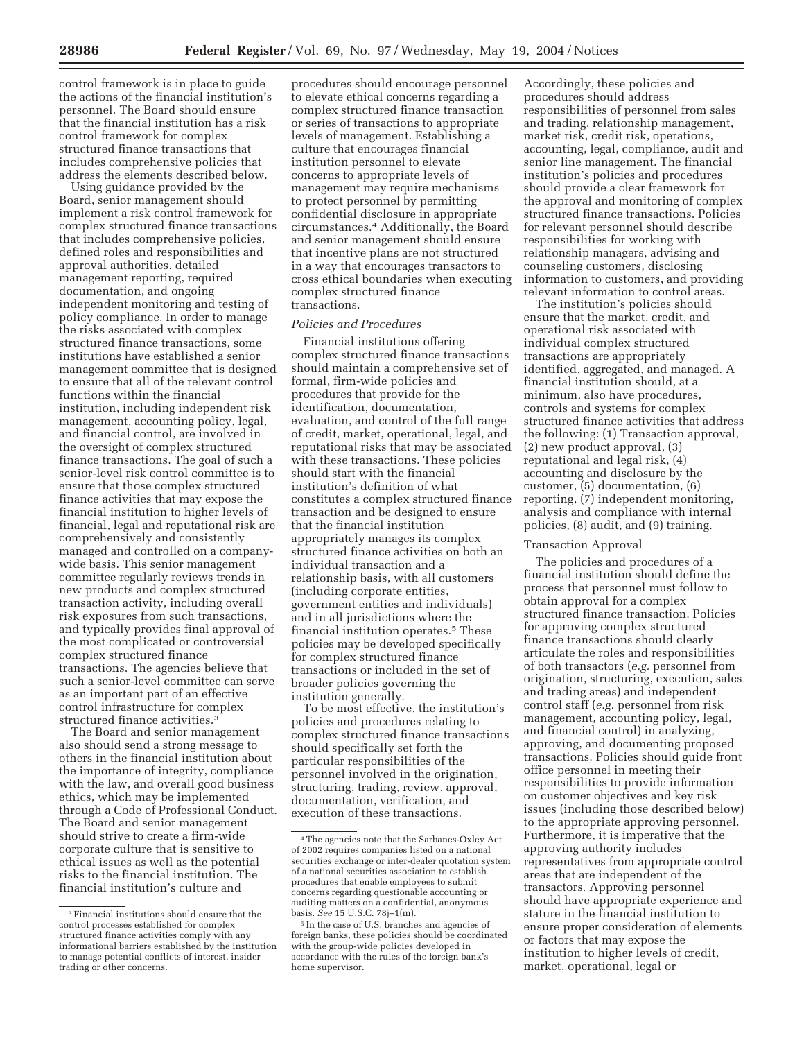control framework is in place to guide the actions of the financial institution's personnel. The Board should ensure that the financial institution has a risk control framework for complex structured finance transactions that includes comprehensive policies that address the elements described below.

Using guidance provided by the Board, senior management should implement a risk control framework for complex structured finance transactions that includes comprehensive policies, defined roles and responsibilities and approval authorities, detailed management reporting, required documentation, and ongoing independent monitoring and testing of policy compliance. In order to manage the risks associated with complex structured finance transactions, some institutions have established a senior management committee that is designed to ensure that all of the relevant control functions within the financial institution, including independent risk management, accounting policy, legal, and financial control, are involved in the oversight of complex structured finance transactions. The goal of such a senior-level risk control committee is to ensure that those complex structured finance activities that may expose the financial institution to higher levels of financial, legal and reputational risk are comprehensively and consistently managed and controlled on a companywide basis. This senior management committee regularly reviews trends in new products and complex structured transaction activity, including overall risk exposures from such transactions, and typically provides final approval of the most complicated or controversial complex structured finance transactions. The agencies believe that such a senior-level committee can serve as an important part of an effective control infrastructure for complex structured finance activities.3

The Board and senior management also should send a strong message to others in the financial institution about the importance of integrity, compliance with the law, and overall good business ethics, which may be implemented through a Code of Professional Conduct. The Board and senior management should strive to create a firm-wide corporate culture that is sensitive to ethical issues as well as the potential risks to the financial institution. The financial institution's culture and

procedures should encourage personnel to elevate ethical concerns regarding a complex structured finance transaction or series of transactions to appropriate levels of management. Establishing a culture that encourages financial institution personnel to elevate concerns to appropriate levels of management may require mechanisms to protect personnel by permitting confidential disclosure in appropriate circumstances.4 Additionally, the Board and senior management should ensure that incentive plans are not structured in a way that encourages transactors to cross ethical boundaries when executing complex structured finance transactions.

### *Policies and Procedures*

Financial institutions offering complex structured finance transactions should maintain a comprehensive set of formal, firm-wide policies and procedures that provide for the identification, documentation, evaluation, and control of the full range of credit, market, operational, legal, and reputational risks that may be associated with these transactions. These policies should start with the financial institution's definition of what constitutes a complex structured finance transaction and be designed to ensure that the financial institution appropriately manages its complex structured finance activities on both an individual transaction and a relationship basis, with all customers (including corporate entities, government entities and individuals) and in all jurisdictions where the financial institution operates.5 These policies may be developed specifically for complex structured finance transactions or included in the set of broader policies governing the institution generally.

To be most effective, the institution's policies and procedures relating to complex structured finance transactions should specifically set forth the particular responsibilities of the personnel involved in the origination, structuring, trading, review, approval, documentation, verification, and execution of these transactions.

Accordingly, these policies and procedures should address responsibilities of personnel from sales and trading, relationship management, market risk, credit risk, operations, accounting, legal, compliance, audit and senior line management. The financial institution's policies and procedures should provide a clear framework for the approval and monitoring of complex structured finance transactions. Policies for relevant personnel should describe responsibilities for working with relationship managers, advising and counseling customers, disclosing information to customers, and providing relevant information to control areas.

The institution's policies should ensure that the market, credit, and operational risk associated with individual complex structured transactions are appropriately identified, aggregated, and managed. A financial institution should, at a minimum, also have procedures, controls and systems for complex structured finance activities that address the following: (1) Transaction approval, (2) new product approval, (3) reputational and legal risk, (4) accounting and disclosure by the customer, (5) documentation, (6) reporting, (7) independent monitoring, analysis and compliance with internal policies, (8) audit, and (9) training.

# Transaction Approval

The policies and procedures of a financial institution should define the process that personnel must follow to obtain approval for a complex structured finance transaction. Policies for approving complex structured finance transactions should clearly articulate the roles and responsibilities of both transactors (*e.g.* personnel from origination, structuring, execution, sales and trading areas) and independent control staff (*e.g.* personnel from risk management, accounting policy, legal, and financial control) in analyzing, approving, and documenting proposed transactions. Policies should guide front office personnel in meeting their responsibilities to provide information on customer objectives and key risk issues (including those described below) to the appropriate approving personnel. Furthermore, it is imperative that the approving authority includes representatives from appropriate control areas that are independent of the transactors. Approving personnel should have appropriate experience and stature in the financial institution to ensure proper consideration of elements or factors that may expose the institution to higher levels of credit, market, operational, legal or

<sup>3</sup>Financial institutions should ensure that the control processes established for complex structured finance activities comply with any informational barriers established by the institution to manage potential conflicts of interest, insider trading or other concerns.

<sup>4</sup>The agencies note that the Sarbanes-Oxley Act of 2002 requires companies listed on a national securities exchange or inter-dealer quotation system of a national securities association to establish procedures that enable employees to submit concerns regarding questionable accounting or auditing matters on a confidential, anonymous basis. *See* 15 U.S.C. 78j–1(m).

<sup>5</sup> In the case of U.S. branches and agencies of foreign banks, these policies should be coordinated with the group-wide policies developed in accordance with the rules of the foreign bank's home supervisor.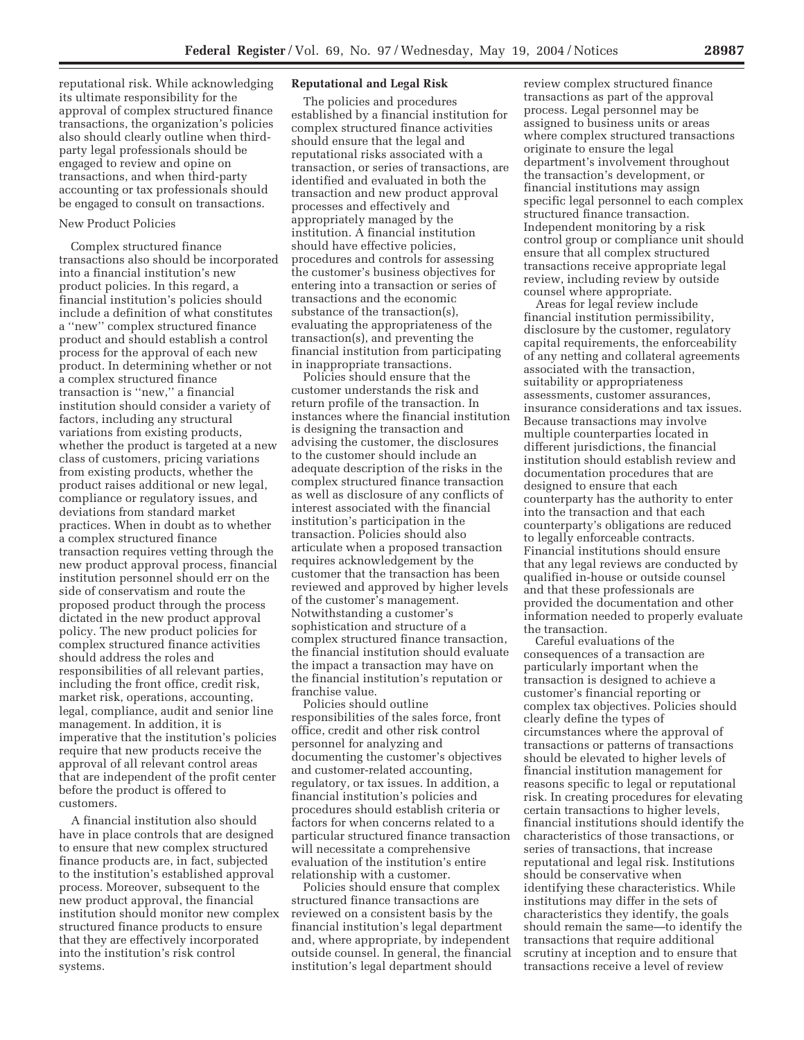reputational risk. While acknowledging its ultimate responsibility for the approval of complex structured finance transactions, the organization's policies also should clearly outline when thirdparty legal professionals should be engaged to review and opine on transactions, and when third-party accounting or tax professionals should be engaged to consult on transactions.

#### New Product Policies

Complex structured finance transactions also should be incorporated into a financial institution's new product policies. In this regard, a financial institution's policies should include a definition of what constitutes a ''new'' complex structured finance product and should establish a control process for the approval of each new product. In determining whether or not a complex structured finance transaction is ''new,'' a financial institution should consider a variety of factors, including any structural variations from existing products, whether the product is targeted at a new class of customers, pricing variations from existing products, whether the product raises additional or new legal, compliance or regulatory issues, and deviations from standard market practices. When in doubt as to whether a complex structured finance transaction requires vetting through the new product approval process, financial institution personnel should err on the side of conservatism and route the proposed product through the process dictated in the new product approval policy. The new product policies for complex structured finance activities should address the roles and responsibilities of all relevant parties, including the front office, credit risk, market risk, operations, accounting, legal, compliance, audit and senior line management. In addition, it is imperative that the institution's policies require that new products receive the approval of all relevant control areas that are independent of the profit center before the product is offered to customers.

A financial institution also should have in place controls that are designed to ensure that new complex structured finance products are, in fact, subjected to the institution's established approval process. Moreover, subsequent to the new product approval, the financial institution should monitor new complex structured finance products to ensure that they are effectively incorporated into the institution's risk control systems.

# **Reputational and Legal Risk**

The policies and procedures established by a financial institution for complex structured finance activities should ensure that the legal and reputational risks associated with a transaction, or series of transactions, are identified and evaluated in both the transaction and new product approval processes and effectively and appropriately managed by the institution. A financial institution should have effective policies, procedures and controls for assessing the customer's business objectives for entering into a transaction or series of transactions and the economic substance of the transaction(s), evaluating the appropriateness of the transaction(s), and preventing the financial institution from participating in inappropriate transactions.

Policies should ensure that the customer understands the risk and return profile of the transaction. In instances where the financial institution is designing the transaction and advising the customer, the disclosures to the customer should include an adequate description of the risks in the complex structured finance transaction as well as disclosure of any conflicts of interest associated with the financial institution's participation in the transaction. Policies should also articulate when a proposed transaction requires acknowledgement by the customer that the transaction has been reviewed and approved by higher levels of the customer's management. Notwithstanding a customer's sophistication and structure of a complex structured finance transaction, the financial institution should evaluate the impact a transaction may have on the financial institution's reputation or franchise value.

Policies should outline responsibilities of the sales force, front office, credit and other risk control personnel for analyzing and documenting the customer's objectives and customer-related accounting, regulatory, or tax issues. In addition, a financial institution's policies and procedures should establish criteria or factors for when concerns related to a particular structured finance transaction will necessitate a comprehensive evaluation of the institution's entire relationship with a customer.

Policies should ensure that complex structured finance transactions are reviewed on a consistent basis by the financial institution's legal department and, where appropriate, by independent outside counsel. In general, the financial institution's legal department should

review complex structured finance transactions as part of the approval process. Legal personnel may be assigned to business units or areas where complex structured transactions originate to ensure the legal department's involvement throughout the transaction's development, or financial institutions may assign specific legal personnel to each complex structured finance transaction. Independent monitoring by a risk control group or compliance unit should ensure that all complex structured transactions receive appropriate legal review, including review by outside counsel where appropriate.

Areas for legal review include financial institution permissibility, disclosure by the customer, regulatory capital requirements, the enforceability of any netting and collateral agreements associated with the transaction, suitability or appropriateness assessments, customer assurances, insurance considerations and tax issues. Because transactions may involve multiple counterparties located in different jurisdictions, the financial institution should establish review and documentation procedures that are designed to ensure that each counterparty has the authority to enter into the transaction and that each counterparty's obligations are reduced to legally enforceable contracts. Financial institutions should ensure that any legal reviews are conducted by qualified in-house or outside counsel and that these professionals are provided the documentation and other information needed to properly evaluate the transaction.

Careful evaluations of the consequences of a transaction are particularly important when the transaction is designed to achieve a customer's financial reporting or complex tax objectives. Policies should clearly define the types of circumstances where the approval of transactions or patterns of transactions should be elevated to higher levels of financial institution management for reasons specific to legal or reputational risk. In creating procedures for elevating certain transactions to higher levels, financial institutions should identify the characteristics of those transactions, or series of transactions, that increase reputational and legal risk. Institutions should be conservative when identifying these characteristics. While institutions may differ in the sets of characteristics they identify, the goals should remain the same—to identify the transactions that require additional scrutiny at inception and to ensure that transactions receive a level of review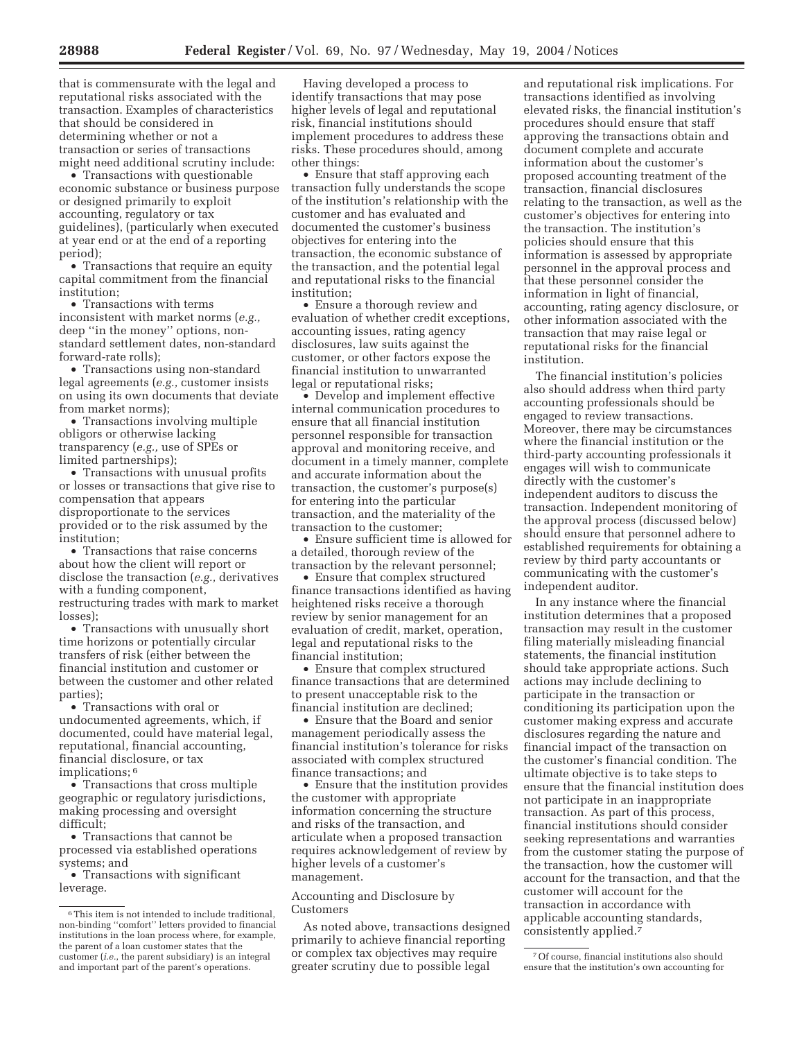that is commensurate with the legal and reputational risks associated with the transaction. Examples of characteristics that should be considered in determining whether or not a transaction or series of transactions might need additional scrutiny include:

• Transactions with questionable economic substance or business purpose or designed primarily to exploit accounting, regulatory or tax guidelines), (particularly when executed at year end or at the end of a reporting period);

• Transactions that require an equity capital commitment from the financial institution;

• Transactions with terms inconsistent with market norms (*e.g.,* deep ''in the money'' options, nonstandard settlement dates, non-standard forward-rate rolls);

• Transactions using non-standard legal agreements (*e.g.,* customer insists on using its own documents that deviate from market norms);

• Transactions involving multiple obligors or otherwise lacking transparency (*e.g.,* use of SPEs or limited partnerships);

• Transactions with unusual profits or losses or transactions that give rise to compensation that appears disproportionate to the services provided or to the risk assumed by the institution;

• Transactions that raise concerns about how the client will report or disclose the transaction (*e.g.,* derivatives with a funding component, restructuring trades with mark to market losses);

• Transactions with unusually short time horizons or potentially circular transfers of risk (either between the financial institution and customer or between the customer and other related parties);

• Transactions with oral or undocumented agreements, which, if documented, could have material legal, reputational, financial accounting, financial disclosure, or tax implications; 6

• Transactions that cross multiple geographic or regulatory jurisdictions, making processing and oversight difficult;

• Transactions that cannot be processed via established operations systems; and

• Transactions with significant leverage.

Having developed a process to identify transactions that may pose higher levels of legal and reputational risk, financial institutions should implement procedures to address these risks. These procedures should, among other things:

• Ensure that staff approving each transaction fully understands the scope of the institution's relationship with the customer and has evaluated and documented the customer's business objectives for entering into the transaction, the economic substance of the transaction, and the potential legal and reputational risks to the financial institution;

• Ensure a thorough review and evaluation of whether credit exceptions, accounting issues, rating agency disclosures, law suits against the customer, or other factors expose the financial institution to unwarranted legal or reputational risks;

• Develop and implement effective internal communication procedures to ensure that all financial institution personnel responsible for transaction approval and monitoring receive, and document in a timely manner, complete and accurate information about the transaction, the customer's purpose(s) for entering into the particular transaction, and the materiality of the transaction to the customer;

• Ensure sufficient time is allowed for a detailed, thorough review of the transaction by the relevant personnel;

• Ensure that complex structured finance transactions identified as having heightened risks receive a thorough review by senior management for an evaluation of credit, market, operation, legal and reputational risks to the financial institution;

• Ensure that complex structured finance transactions that are determined to present unacceptable risk to the financial institution are declined;

• Ensure that the Board and senior management periodically assess the financial institution's tolerance for risks associated with complex structured finance transactions; and

• Ensure that the institution provides the customer with appropriate information concerning the structure and risks of the transaction, and articulate when a proposed transaction requires acknowledgement of review by higher levels of a customer's management.

Accounting and Disclosure by Customers

As noted above, transactions designed primarily to achieve financial reporting or complex tax objectives may require greater scrutiny due to possible legal

and reputational risk implications. For transactions identified as involving elevated risks, the financial institution's procedures should ensure that staff approving the transactions obtain and document complete and accurate information about the customer's proposed accounting treatment of the transaction, financial disclosures relating to the transaction, as well as the customer's objectives for entering into the transaction. The institution's policies should ensure that this information is assessed by appropriate personnel in the approval process and that these personnel consider the information in light of financial, accounting, rating agency disclosure, or other information associated with the transaction that may raise legal or reputational risks for the financial institution.

The financial institution's policies also should address when third party accounting professionals should be engaged to review transactions. Moreover, there may be circumstances where the financial institution or the third-party accounting professionals it engages will wish to communicate directly with the customer's independent auditors to discuss the transaction. Independent monitoring of the approval process (discussed below) should ensure that personnel adhere to established requirements for obtaining a review by third party accountants or communicating with the customer's independent auditor.

In any instance where the financial institution determines that a proposed transaction may result in the customer filing materially misleading financial statements, the financial institution should take appropriate actions. Such actions may include declining to participate in the transaction or conditioning its participation upon the customer making express and accurate disclosures regarding the nature and financial impact of the transaction on the customer's financial condition. The ultimate objective is to take steps to ensure that the financial institution does not participate in an inappropriate transaction. As part of this process, financial institutions should consider seeking representations and warranties from the customer stating the purpose of the transaction, how the customer will account for the transaction, and that the customer will account for the transaction in accordance with applicable accounting standards, consistently applied.7

<sup>6</sup>This item is not intended to include traditional, non-binding ''comfort'' letters provided to financial institutions in the loan process where, for example, the parent of a loan customer states that the customer (*i.e.*, the parent subsidiary) is an integral and important part of the parent's operations.

<sup>7</sup>Of course, financial institutions also should ensure that the institution's own accounting for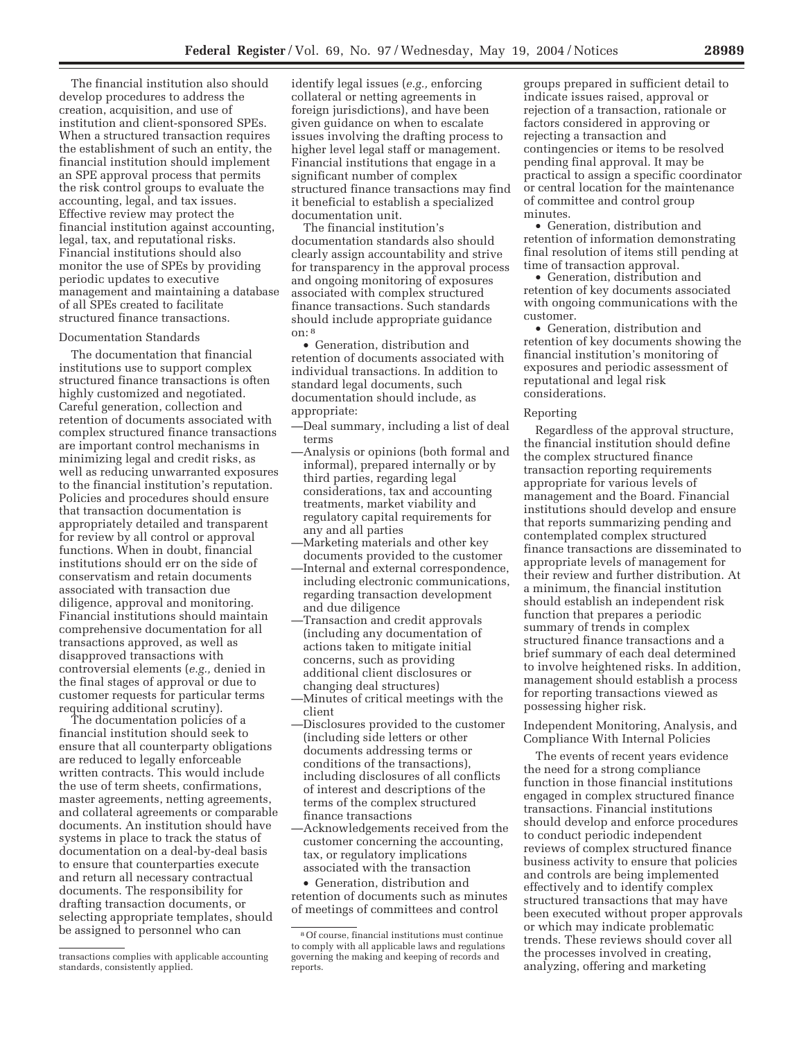The financial institution also should develop procedures to address the creation, acquisition, and use of institution and client-sponsored SPEs. When a structured transaction requires the establishment of such an entity, the financial institution should implement an SPE approval process that permits the risk control groups to evaluate the accounting, legal, and tax issues. Effective review may protect the financial institution against accounting, legal, tax, and reputational risks. Financial institutions should also monitor the use of SPEs by providing periodic updates to executive management and maintaining a database of all SPEs created to facilitate structured finance transactions.

# Documentation Standards

The documentation that financial institutions use to support complex structured finance transactions is often highly customized and negotiated. Careful generation, collection and retention of documents associated with complex structured finance transactions are important control mechanisms in minimizing legal and credit risks, as well as reducing unwarranted exposures to the financial institution's reputation. Policies and procedures should ensure that transaction documentation is appropriately detailed and transparent for review by all control or approval functions. When in doubt, financial institutions should err on the side of conservatism and retain documents associated with transaction due diligence, approval and monitoring. Financial institutions should maintain comprehensive documentation for all transactions approved, as well as disapproved transactions with controversial elements (*e.g.,* denied in the final stages of approval or due to customer requests for particular terms requiring additional scrutiny).

The documentation policies of a financial institution should seek to ensure that all counterparty obligations are reduced to legally enforceable written contracts. This would include the use of term sheets, confirmations, master agreements, netting agreements, and collateral agreements or comparable documents. An institution should have systems in place to track the status of documentation on a deal-by-deal basis to ensure that counterparties execute and return all necessary contractual documents. The responsibility for drafting transaction documents, or selecting appropriate templates, should be assigned to personnel who can

identify legal issues (*e.g.,* enforcing collateral or netting agreements in foreign jurisdictions), and have been given guidance on when to escalate issues involving the drafting process to higher level legal staff or management. Financial institutions that engage in a significant number of complex structured finance transactions may find it beneficial to establish a specialized documentation unit.

The financial institution's documentation standards also should clearly assign accountability and strive for transparency in the approval process and ongoing monitoring of exposures associated with complex structured finance transactions. Such standards should include appropriate guidance on: 8

• Generation, distribution and retention of documents associated with individual transactions. In addition to standard legal documents, such documentation should include, as appropriate:

- —Deal summary, including a list of deal terms
- —Analysis or opinions (both formal and informal), prepared internally or by third parties, regarding legal considerations, tax and accounting treatments, market viability and regulatory capital requirements for any and all parties
- —Marketing materials and other key documents provided to the customer
- —Internal and external correspondence, including electronic communications, regarding transaction development and due diligence
- —Transaction and credit approvals (including any documentation of actions taken to mitigate initial concerns, such as providing additional client disclosures or changing deal structures)
- —Minutes of critical meetings with the client
- —Disclosures provided to the customer (including side letters or other documents addressing terms or conditions of the transactions), including disclosures of all conflicts of interest and descriptions of the terms of the complex structured finance transactions
- —Acknowledgements received from the customer concerning the accounting, tax, or regulatory implications associated with the transaction

• Generation, distribution and retention of documents such as minutes of meetings of committees and control

groups prepared in sufficient detail to indicate issues raised, approval or rejection of a transaction, rationale or factors considered in approving or rejecting a transaction and contingencies or items to be resolved pending final approval. It may be practical to assign a specific coordinator or central location for the maintenance of committee and control group minutes.

• Generation, distribution and retention of information demonstrating final resolution of items still pending at time of transaction approval.

• Generation, distribution and retention of key documents associated with ongoing communications with the customer.

• Generation, distribution and retention of key documents showing the financial institution's monitoring of exposures and periodic assessment of reputational and legal risk considerations.

#### Reporting

Regardless of the approval structure, the financial institution should define the complex structured finance transaction reporting requirements appropriate for various levels of management and the Board. Financial institutions should develop and ensure that reports summarizing pending and contemplated complex structured finance transactions are disseminated to appropriate levels of management for their review and further distribution. At a minimum, the financial institution should establish an independent risk function that prepares a periodic summary of trends in complex structured finance transactions and a brief summary of each deal determined to involve heightened risks. In addition, management should establish a process for reporting transactions viewed as possessing higher risk.

Independent Monitoring, Analysis, and Compliance With Internal Policies

The events of recent years evidence the need for a strong compliance function in those financial institutions engaged in complex structured finance transactions. Financial institutions should develop and enforce procedures to conduct periodic independent reviews of complex structured finance business activity to ensure that policies and controls are being implemented effectively and to identify complex structured transactions that may have been executed without proper approvals or which may indicate problematic trends. These reviews should cover all the processes involved in creating, analyzing, offering and marketing

transactions complies with applicable accounting standards, consistently applied.

<sup>8</sup>Of course, financial institutions must continue to comply with all applicable laws and regulations governing the making and keeping of records and reports.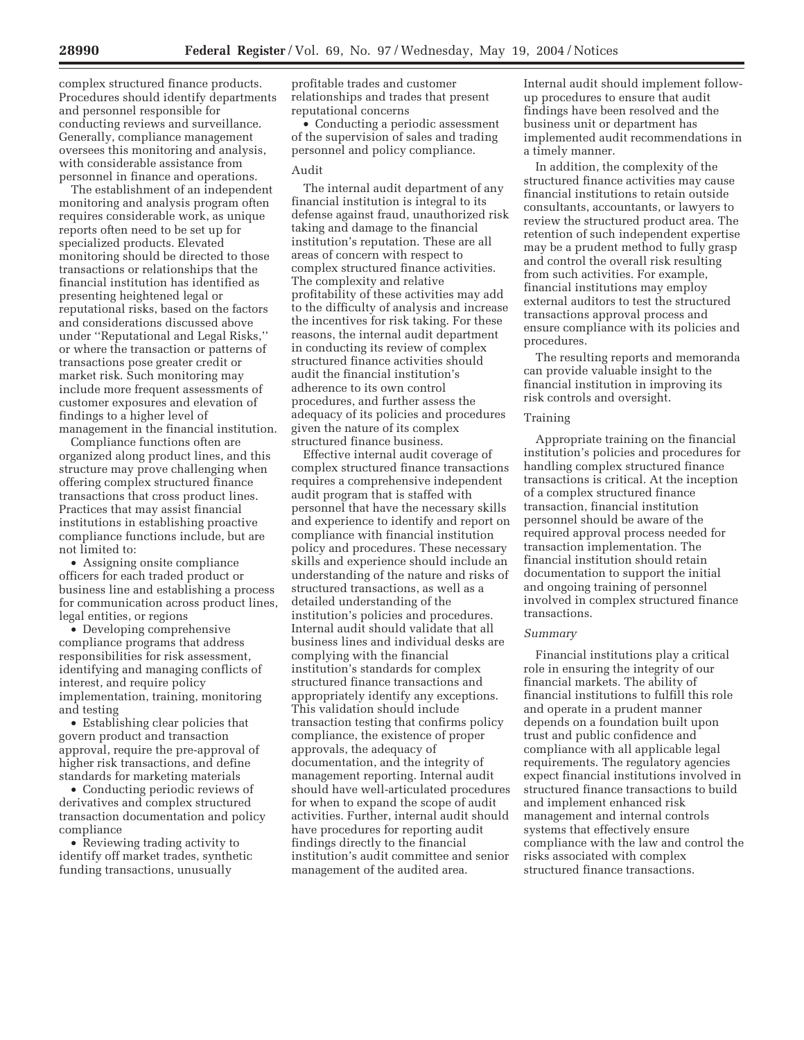complex structured finance products. Procedures should identify departments and personnel responsible for conducting reviews and surveillance. Generally, compliance management oversees this monitoring and analysis, with considerable assistance from personnel in finance and operations.

The establishment of an independent monitoring and analysis program often requires considerable work, as unique reports often need to be set up for specialized products. Elevated monitoring should be directed to those transactions or relationships that the financial institution has identified as presenting heightened legal or reputational risks, based on the factors and considerations discussed above under ''Reputational and Legal Risks,'' or where the transaction or patterns of transactions pose greater credit or market risk. Such monitoring may include more frequent assessments of customer exposures and elevation of findings to a higher level of management in the financial institution.

Compliance functions often are organized along product lines, and this structure may prove challenging when offering complex structured finance transactions that cross product lines. Practices that may assist financial institutions in establishing proactive compliance functions include, but are not limited to:

• Assigning onsite compliance officers for each traded product or business line and establishing a process for communication across product lines, legal entities, or regions

• Developing comprehensive compliance programs that address responsibilities for risk assessment, identifying and managing conflicts of interest, and require policy implementation, training, monitoring and testing

• Establishing clear policies that govern product and transaction approval, require the pre-approval of higher risk transactions, and define standards for marketing materials

• Conducting periodic reviews of derivatives and complex structured transaction documentation and policy compliance

• Reviewing trading activity to identify off market trades, synthetic funding transactions, unusually

profitable trades and customer relationships and trades that present reputational concerns

• Conducting a periodic assessment of the supervision of sales and trading personnel and policy compliance.

# Audit

The internal audit department of any financial institution is integral to its defense against fraud, unauthorized risk taking and damage to the financial institution's reputation. These are all areas of concern with respect to complex structured finance activities. The complexity and relative profitability of these activities may add to the difficulty of analysis and increase the incentives for risk taking. For these reasons, the internal audit department in conducting its review of complex structured finance activities should audit the financial institution's adherence to its own control procedures, and further assess the adequacy of its policies and procedures given the nature of its complex structured finance business.

Effective internal audit coverage of complex structured finance transactions requires a comprehensive independent audit program that is staffed with personnel that have the necessary skills and experience to identify and report on compliance with financial institution policy and procedures. These necessary skills and experience should include an understanding of the nature and risks of structured transactions, as well as a detailed understanding of the institution's policies and procedures. Internal audit should validate that all business lines and individual desks are complying with the financial institution's standards for complex structured finance transactions and appropriately identify any exceptions. This validation should include transaction testing that confirms policy compliance, the existence of proper approvals, the adequacy of documentation, and the integrity of management reporting. Internal audit should have well-articulated procedures for when to expand the scope of audit activities. Further, internal audit should have procedures for reporting audit findings directly to the financial institution's audit committee and senior management of the audited area.

Internal audit should implement followup procedures to ensure that audit findings have been resolved and the business unit or department has implemented audit recommendations in a timely manner.

In addition, the complexity of the structured finance activities may cause financial institutions to retain outside consultants, accountants, or lawyers to review the structured product area. The retention of such independent expertise may be a prudent method to fully grasp and control the overall risk resulting from such activities. For example, financial institutions may employ external auditors to test the structured transactions approval process and ensure compliance with its policies and procedures.

The resulting reports and memoranda can provide valuable insight to the financial institution in improving its risk controls and oversight.

#### Training

Appropriate training on the financial institution's policies and procedures for handling complex structured finance transactions is critical. At the inception of a complex structured finance transaction, financial institution personnel should be aware of the required approval process needed for transaction implementation. The financial institution should retain documentation to support the initial and ongoing training of personnel involved in complex structured finance transactions.

### *Summary*

Financial institutions play a critical role in ensuring the integrity of our financial markets. The ability of financial institutions to fulfill this role and operate in a prudent manner depends on a foundation built upon trust and public confidence and compliance with all applicable legal requirements. The regulatory agencies expect financial institutions involved in structured finance transactions to build and implement enhanced risk management and internal controls systems that effectively ensure compliance with the law and control the risks associated with complex structured finance transactions.